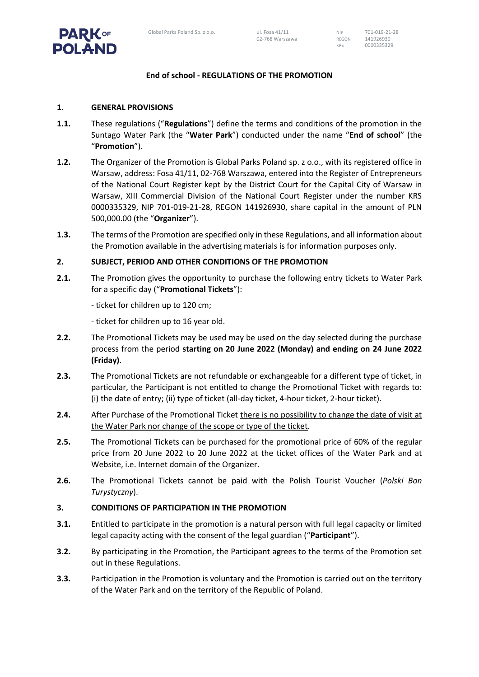# **End of school - REGULATIONS OF THE PROMOTION**

## **1. GENERAL PROVISIONS**

**PARK** OF **POLAND** 

- **1.1.** These regulations ("**Regulations**") define the terms and conditions of the promotion in the Suntago Water Park (the "**Water Park**") conducted under the name "**End of school**" (the "**Promotion**").
- **1.2.** The Organizer of the Promotion is Global Parks Poland sp. z o.o., with its registered office in Warsaw, address: Fosa 41/11, 02-768 Warszawa, entered into the Register of Entrepreneurs of the National Court Register kept by the District Court for the Capital City of Warsaw in Warsaw, XIII Commercial Division of the National Court Register under the number KRS 0000335329, NIP 701-019-21-28, REGON 141926930, share capital in the amount of PLN 500,000.00 (the "**Organizer**").
- **1.3.** The terms of the Promotion are specified only in these Regulations, and all information about the Promotion available in the advertising materials is for information purposes only.

## **2. SUBJECT, PERIOD AND OTHER CONDITIONS OF THE PROMOTION**

- **2.1.** The Promotion gives the opportunity to purchase the following entry tickets to Water Park for a specific day ("**Promotional Tickets**"):
	- ticket for children up to 120 cm;
	- ticket for children up to 16 year old.
- **2.2.** The Promotional Tickets may be used may be used on the day selected during the purchase process from the period **starting on 20 June 2022 (Monday) and ending on 24 June 2022 (Friday)**.
- **2.3.** The Promotional Tickets are not refundable or exchangeable for a different type of ticket, in particular, the Participant is not entitled to change the Promotional Ticket with regards to: (i) the date of entry; (ii) type of ticket (all-day ticket, 4-hour ticket, 2-hour ticket).
- **2.4.** After Purchase of the Promotional Ticket there is no possibility to change the date of visit at the Water Park nor change of the scope or type of the ticket.
- **2.5.** The Promotional Tickets can be purchased for the promotional price of 60% of the regular price from 20 June 2022 to 20 June 2022 at the ticket offices of the Water Park and at Website, i.e. Internet domain of the Organizer.
- **2.6.** The Promotional Tickets cannot be paid with the Polish Tourist Voucher (*Polski Bon Turystyczny*).

### **3. CONDITIONS OF PARTICIPATION IN THE PROMOTION**

- **3.1.** Entitled to participate in the promotion is a natural person with full legal capacity or limited legal capacity acting with the consent of the legal guardian ("**Participant**").
- **3.2.** By participating in the Promotion, the Participant agrees to the terms of the Promotion set out in these Regulations.
- **3.3.** Participation in the Promotion is voluntary and the Promotion is carried out on the territory of the Water Park and on the territory of the Republic of Poland.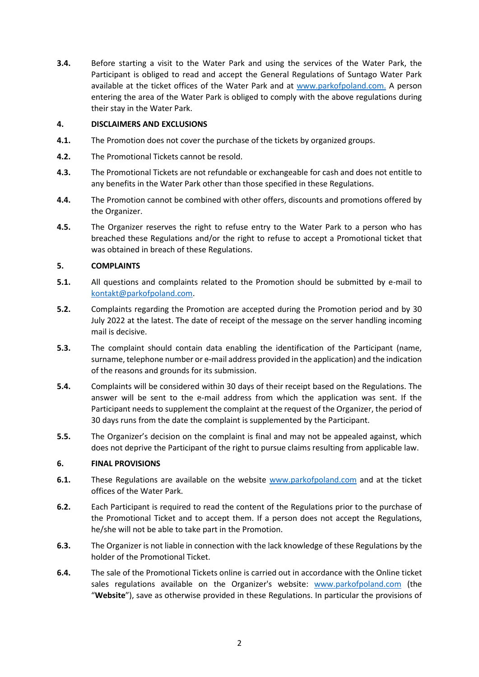**3.4.** Before starting a visit to the Water Park and using the services of the Water Park, the Participant is obliged to read and accept the General Regulations of Suntago Water Park available at the ticket offices of the Water Park and at [www.parkofpoland.com.](http://www.parkofpoland.com/) A person entering the area of the Water Park is obliged to comply with the above regulations during their stay in the Water Park.

## **4. DISCLAIMERS AND EXCLUSIONS**

- **4.1.** The Promotion does not cover the purchase of the tickets by organized groups.
- **4.2.** The Promotional Tickets cannot be resold.
- **4.3.** The Promotional Tickets are not refundable or exchangeable for cash and does not entitle to any benefits in the Water Park other than those specified in these Regulations.
- **4.4.** The Promotion cannot be combined with other offers, discounts and promotions offered by the Organizer.
- **4.5.** The Organizer reserves the right to refuse entry to the Water Park to a person who has breached these Regulations and/or the right to refuse to accept a Promotional ticket that was obtained in breach of these Regulations.

## **5. COMPLAINTS**

- **5.1.** All questions and complaints related to the Promotion should be submitted by e-mail to [kontakt@parkofpoland.com.](mailto:kontakt@parkofpoland.com)
- **5.2.** Complaints regarding the Promotion are accepted during the Promotion period and by 30 July 2022 at the latest. The date of receipt of the message on the server handling incoming mail is decisive.
- **5.3.** The complaint should contain data enabling the identification of the Participant (name, surname, telephone number or e-mail address provided in the application) and the indication of the reasons and grounds for its submission.
- **5.4.** Complaints will be considered within 30 days of their receipt based on the Regulations. The answer will be sent to the e-mail address from which the application was sent. If the Participant needs to supplement the complaint at the request of the Organizer, the period of 30 days runs from the date the complaint is supplemented by the Participant.
- **5.5.** The Organizer's decision on the complaint is final and may not be appealed against, which does not deprive the Participant of the right to pursue claims resulting from applicable law.

### **6. FINAL PROVISIONS**

- **6.1.** These Regulations are available on the website [www.parkofpoland.com](http://www.parkofpoland.com/) and at the ticket offices of the Water Park.
- **6.2.** Each Participant is required to read the content of the Regulations prior to the purchase of the Promotional Ticket and to accept them. If a person does not accept the Regulations, he/she will not be able to take part in the Promotion.
- **6.3.** The Organizer is not liable in connection with the lack knowledge of these Regulations by the holder of the Promotional Ticket.
- **6.4.** The sale of the Promotional Tickets online is carried out in accordance with the Online ticket sales regulations available on the Organizer's website: [www.parkofpoland.com](file:///C:/Users/BartoszGryglewski/AppData/Local/Microsoft/Windows/INetCache/Content.Outlook/FP6IAWRE/www.parkofpoland.com) (the "**Website**"), save as otherwise provided in these Regulations. In particular the provisions of